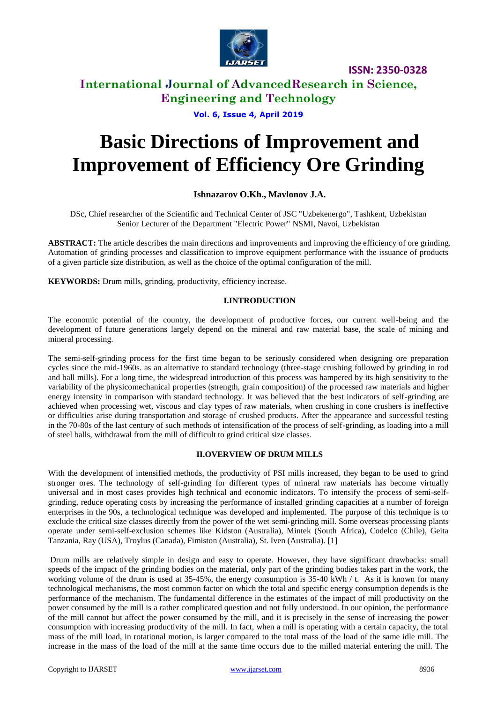

**ISSN: 2350-0328**

# **International Journal of AdvancedResearch in Science, Engineering and Technology**

## **Vol. 6, Issue 4, April 2019**

# **Basic Directions of Improvement and Improvement of Efficiency Ore Grinding**

## **Ishnazarov O.Kh., Mavlonov J.A.**

DSc, Chief researcher of the Scientific and Technical Center of JSC "Uzbekenergo", Tashkent, Uzbekistan Senior Lecturer of the Department "Electric Power" NSMI, Navoi, Uzbekistan

**ABSTRACT:** The article describes the main directions and improvements and improving the efficiency of ore grinding. Automation of grinding processes and classification to improve equipment performance with the issuance of products of a given particle size distribution, as well as the choice of the optimal configuration of the mill.

**KEYWORDS:** Drum mills, grinding, productivity, efficiency increase.

## **I.INTRODUCTION**

The economic potential of the country, the development of productive forces, our current well-being and the development of future generations largely depend on the mineral and raw material base, the scale of mining and mineral processing.

The semi-self-grinding process for the first time began to be seriously considered when designing ore preparation cycles since the mid-1960s. as an alternative to standard technology (three-stage crushing followed by grinding in rod and ball mills). For a long time, the widespread introduction of this process was hampered by its high sensitivity to the variability of the physicomechanical properties (strength, grain composition) of the processed raw materials and higher energy intensity in comparison with standard technology. It was believed that the best indicators of self-grinding are achieved when processing wet, viscous and clay types of raw materials, when crushing in cone crushers is ineffective or difficulties arise during transportation and storage of crushed products. After the appearance and successful testing in the 70-80s of the last century of such methods of intensification of the process of self-grinding, as loading into a mill of steel balls, withdrawal from the mill of difficult to grind critical size classes.

### **II.OVERVIEW OF DRUM MILLS**

With the development of intensified methods, the productivity of PSI mills increased, they began to be used to grind stronger ores. The technology of self-grinding for different types of mineral raw materials has become virtually universal and in most cases provides high technical and economic indicators. To intensify the process of semi-selfgrinding, reduce operating costs by increasing the performance of installed grinding capacities at a number of foreign enterprises in the 90s, a technological technique was developed and implemented. The purpose of this technique is to exclude the critical size classes directly from the power of the wet semi-grinding mill. Some overseas processing plants operate under semi-self-exclusion schemes like Kidston (Australia), Mintek (South Africa), Codelco (Chile), Geita Tanzania, Ray (USA), Troylus (Canada), Fimiston (Australia), St. Iven (Australia). [1]

Drum mills are relatively simple in design and easy to operate. However, they have significant drawbacks: small speeds of the impact of the grinding bodies on the material, only part of the grinding bodies takes part in the work, the working volume of the drum is used at 35-45%, the energy consumption is 35-40 kWh / t. As it is known for many technological mechanisms, the most common factor on which the total and specific energy consumption depends is the performance of the mechanism. The fundamental difference in the estimates of the impact of mill productivity on the power consumed by the mill is a rather complicated question and not fully understood. In our opinion, the performance of the mill cannot but affect the power consumed by the mill, and it is precisely in the sense of increasing the power consumption with increasing productivity of the mill. In fact, when a mill is operating with a certain capacity, the total mass of the mill load, in rotational motion, is larger compared to the total mass of the load of the same idle mill. The increase in the mass of the load of the mill at the same time occurs due to the milled material entering the mill. The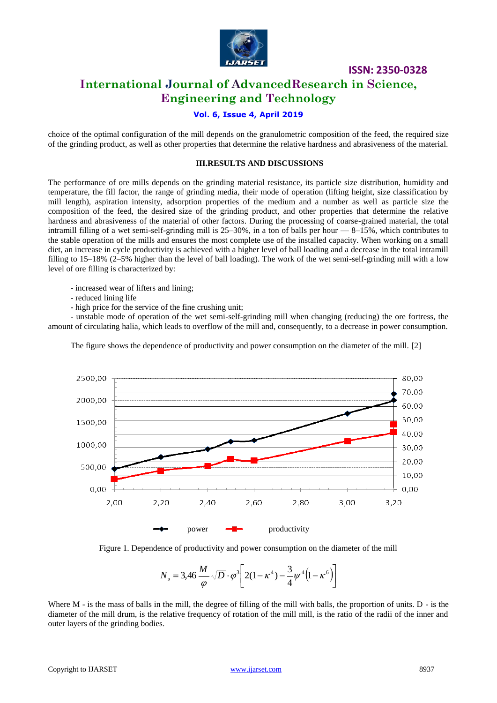

**ISSN: 2350-0328**

# **International Journal of AdvancedResearch in Science, Engineering and Technology**

# **Vol. 6, Issue 4, April 2019**

choice of the optimal configuration of the mill depends on the granulometric composition of the feed, the required size of the grinding product, as well as other properties that determine the relative hardness and abrasiveness of the material.

#### **III.RESULTS AND DISCUSSIONS**

The performance of ore mills depends on the grinding material resistance, its particle size distribution, humidity and temperature, the fill factor, the range of grinding media, their mode of operation (lifting height, size classification by mill length), aspiration intensity, adsorption properties of the medium and a number as well as particle size the composition of the feed, the desired size of the grinding product, and other properties that determine the relative hardness and abrasiveness of the material of other factors. During the processing of coarse-grained material, the total intramill filling of a wet semi-self-grinding mill is 25–30%, in a ton of balls per hour — 8–15%, which contributes to the stable operation of the mills and ensures the most complete use of the installed capacity. When working on a small diet, an increase in cycle productivity is achieved with a higher level of ball loading and a decrease in the total intramill filling to 15–18% (2–5% higher than the level of ball loading). The work of the wet semi-self-grinding mill with a low level of ore filling is characterized by:

- increased wear of lifters and lining;
- reduced lining life
- high price for the service of the fine crushing unit;

- unstable mode of operation of the wet semi-self-grinding mill when changing (reducing) the ore fortress, the amount of circulating halia, which leads to overflow of the mill and, consequently, to a decrease in power consumption.





Figure 1. Dependence of productivity and power consumption on the diameter of the mill

$$
N_{\rm s} = 3,46 \frac{M}{\varphi} \sqrt{D} \cdot \varphi^3 \left[ 2(1 - \kappa^4) - \frac{3}{4} \psi^4 (1 - \kappa^6) \right]
$$

Where M - is the mass of balls in the mill, the degree of filling of the mill with balls, the proportion of units. D - is the diameter of the mill drum, is the relative frequency of rotation of the mill mill, is the ratio of the radii of the inner and outer layers of the grinding bodies.